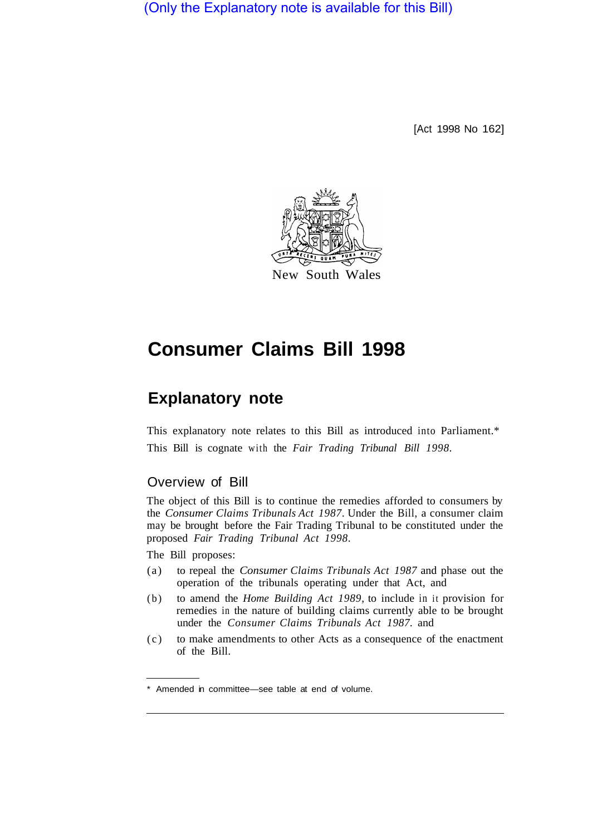(Only the Explanatory note is available for this Bill)

[Act 1998 No 162]



# **Consumer Claims Bill 1998**

## **Explanatory note**

This explanatory note relates to this Bill as introduced into Parliament.\* This Bill is cognate with the *Fair Trading Tribunal Bill 1998.* 

## Overview of Bill

The object of this Bill is to continue the remedies afforded to consumers by the *Consumer Claims Tribunals Act 1987.* Under the Bill, a consumer claim may be brought before the Fair Trading Tribunal to be constituted under the proposed *Fair Trading Tribunal Act 1998.* 

The Bill proposes:

- (a) to repeal the *Consumer Claims Tribunals Act 1987* and phase out the operation of the tribunals operating under that Act, and
- (b) to amend the *Home Building Act 1989,* to include in it provision for remedies in the nature of building claims currently able to be brought under the *Consumer Claims Tribunals Act 1987.* and
- (c) to make amendments to other Acts as a consequence of the enactment of the Bill.

Amended in committee—see table at end of volume.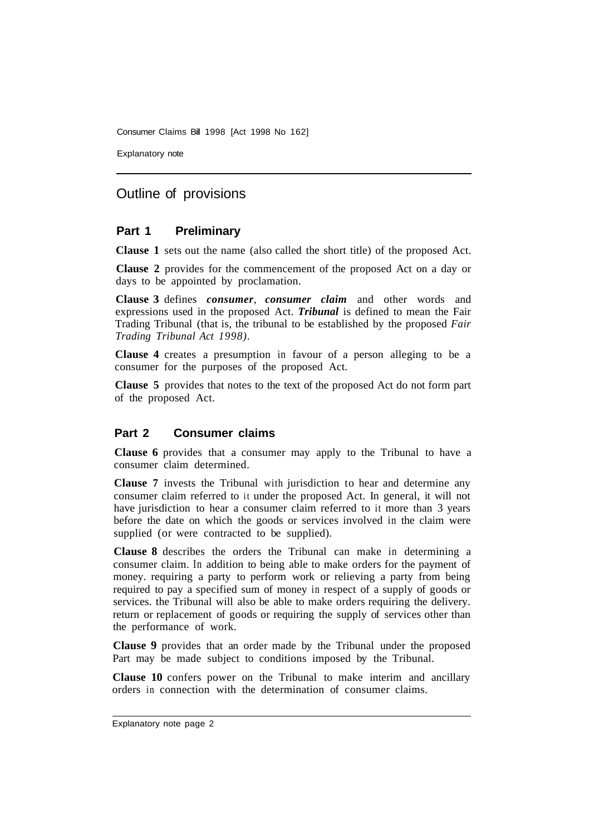Consumer Claims Bill 1998 [Act 1998 No 162]

Explanatory note

## Outline of provisions

#### **Part 1 Preliminary**

**Clause 1** sets out the name (also called the short title) of the proposed Act.

**Clause 2** provides for the commencement of the proposed Act on a day or days to be appointed by proclamation.

**Clause 3** defines *consumer*, *consumer claim* and other words and expressions used in the proposed Act. *Tribunal* is defined to mean the Fair Trading Tribunal (that is, the tribunal to be established by the proposed *Fair Trading Tribunal Act 1998).* 

**Clause 4** creates a presumption in favour of a person alleging to be a consumer for the purposes of the proposed Act.

**Clause 5** provides that notes to the text of the proposed Act do not form part of the proposed Act.

#### **Part 2 Consumer claims**

**Clause 6** provides that a consumer may apply to the Tribunal to have a consumer claim determined.

**Clause 7** invests the Tribunal with jurisdiction to hear and determine any consumer claim referred to it under the proposed Act. In general, it will not have jurisdiction to hear a consumer claim referred to it more than 3 years before the date on which the goods or services involved in the claim were supplied (or were contracted to be supplied).

**Clause 8** describes the orders the Tribunal can make in determining a consumer claim. In addition to being able to make orders for the payment of money. requiring a party to perform work or relieving a party from being required to pay a specified sum of money in respect of a supply of goods or services. the Tribunal will also be able to make orders requiring the delivery. return or replacement of goods or requiring the supply of services other than the performance of work.

**Clause 9** provides that an order made by the Tribunal under the proposed Part may be made subject to conditions imposed by the Tribunal.

**Clause 10** confers power on the Tribunal to make interim and ancillary orders in connection with the determination of consumer claims.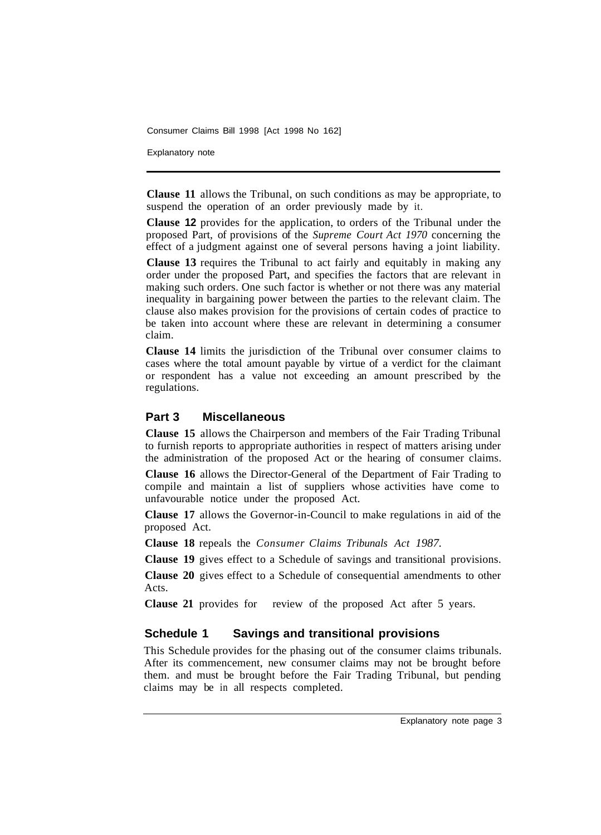Consumer Claims Bill 1998 [Act 1998 No 162]

Explanatory note

**Clause 11** allows the Tribunal, on such conditions as may be appropriate, to suspend the operation of an order previously made by it.

**Clause 12** provides for the application, to orders of the Tribunal under the proposed Part, of provisions of the *Supreme Court Act 1970* concerning the effect of a judgment against one of several persons having a joint liability.

**Clause 13** requires the Tribunal to act fairly and equitably in making any order under the proposed Part, and specifies the factors that are relevant in making such orders. One such factor is whether or not there was any material inequality in bargaining power between the parties to the relevant claim. The clause also makes provision for the provisions of certain codes of practice to be taken into account where these are relevant in determining a consumer claim.

**Clause 14** limits the jurisdiction of the Tribunal over consumer claims to cases where the total amount payable by virtue of a verdict for the claimant or respondent has a value not exceeding an amount prescribed by the regulations.

#### **Part 3 Miscellaneous**

**Clause 15** allows the Chairperson and members of the Fair Trading Tribunal to furnish reports to appropriate authorities in respect of matters arising under the administration of the proposed Act or the hearing of consumer claims.

**Clause 16** allows the Director-General of the Department of Fair Trading to compile and maintain a list of suppliers whose activities have come to unfavourable notice under the proposed Act.

**Clause 17** allows the Governor-in-Council to make regulations in aid of the proposed Act.

**Clause 18** repeals the *Consumer Claims Tribunals Act 1987.* 

**Clause 19** gives effect to a Schedule of savings and transitional provisions.

**Clause 20** gives effect to a Schedule of consequential amendments to other Acts.

**Clause 21** provides for review of the proposed Act after 5 years.

#### **Schedule 1 Savings and transitional provisions**

This Schedule provides for the phasing out of the consumer claims tribunals. After its commencement, new consumer claims may not be brought before them. and must be brought before the Fair Trading Tribunal, but pending claims may be in all respects completed.